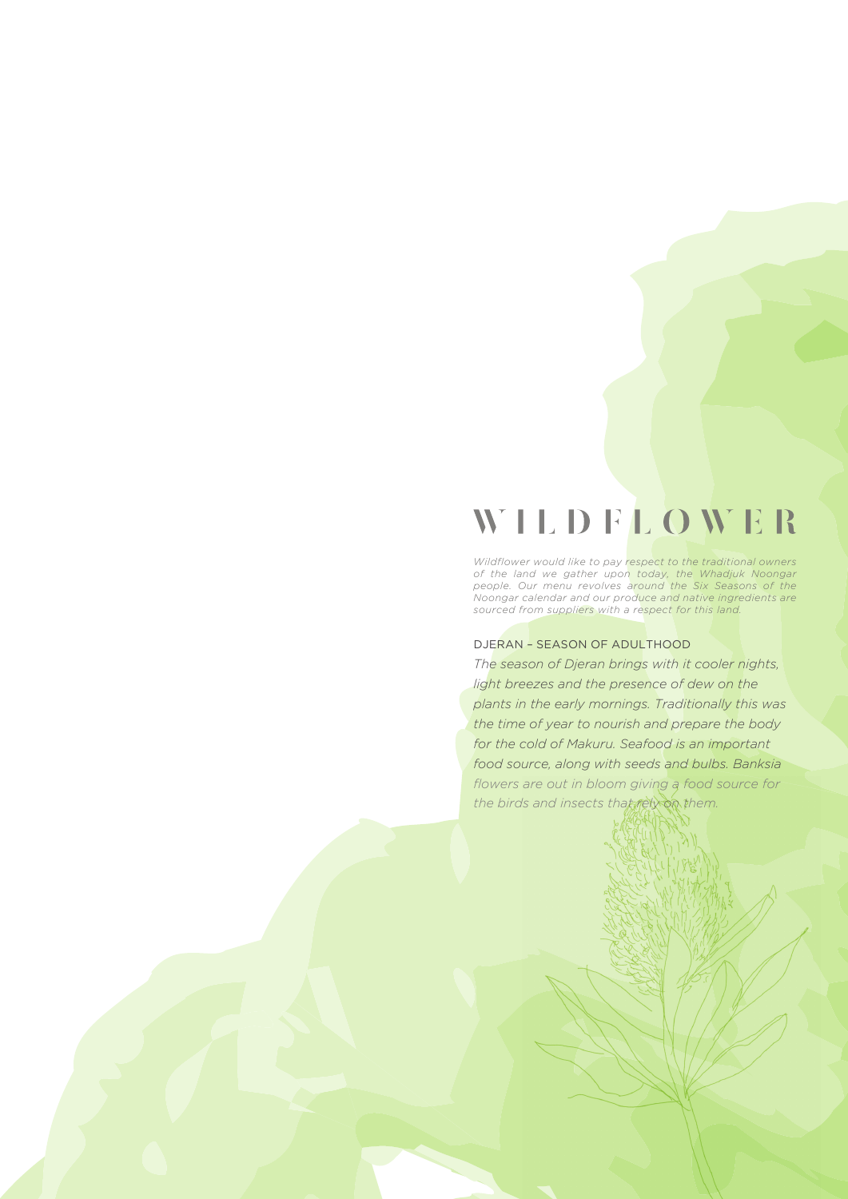## **WILDFLOWER**

*Wildflower would like to pay respect to the traditional owners of the land we gather upon today, the Whadjuk Noongar people. Our menu revolves around the Six Seasons of the Noongar calendar and our produce and native ingredients are sourced from suppliers with a respect for this land.*

## DJERAN – SEASON OF ADULTHOOD

*The season of Djeran brings with it cooler nights, light breezes and the presence of dew on the plants in the early mornings. Traditionally this was the time of year to nourish and prepare the body for the cold of Makuru. Seafood is an important food source, along with seeds and bulbs. Banksia flowers are out in bloom giving a food source for*  the birds and insects that rely on them.